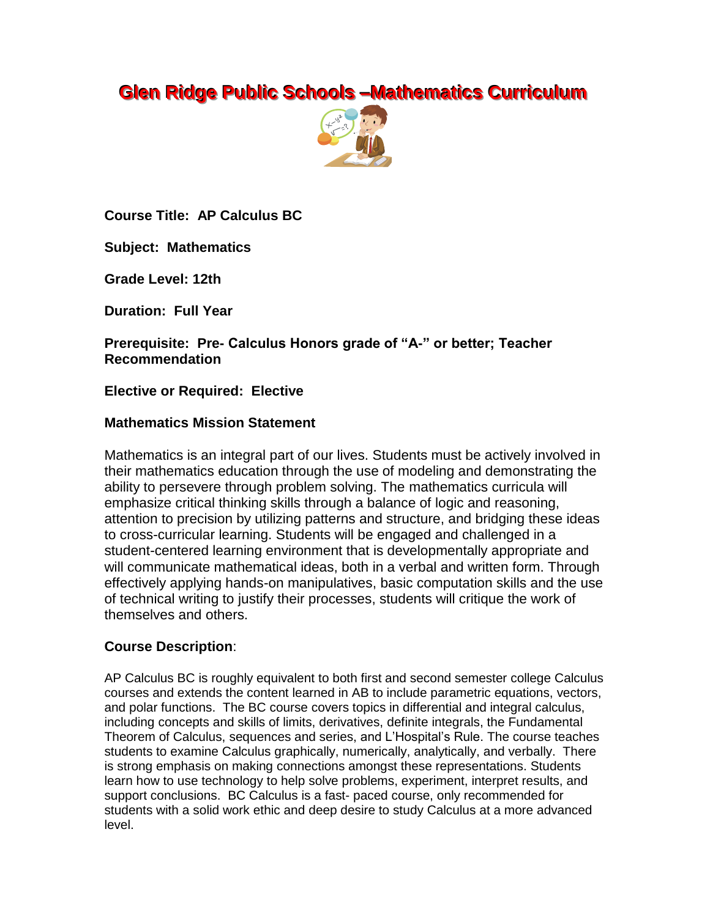# **Glen Ridge Public Schools –Mathematics Curriculum**



**Course Title: AP Calculus BC**

**Subject: Mathematics**

**Grade Level: 12th**

**Duration: Full Year**

**Prerequisite: Pre- Calculus Honors grade of "A-" or better; Teacher Recommendation**

## **Elective or Required: Elective**

#### **Mathematics Mission Statement**

Mathematics is an integral part of our lives. Students must be actively involved in their mathematics education through the use of modeling and demonstrating the ability to persevere through problem solving. The mathematics curricula will emphasize critical thinking skills through a balance of logic and reasoning, attention to precision by utilizing patterns and structure, and bridging these ideas to cross-curricular learning. Students will be engaged and challenged in a student-centered learning environment that is developmentally appropriate and will communicate mathematical ideas, both in a verbal and written form. Through effectively applying hands-on manipulatives, basic computation skills and the use of technical writing to justify their processes, students will critique the work of themselves and others.

## **Course Description**:

AP Calculus BC is roughly equivalent to both first and second semester college Calculus courses and extends the content learned in AB to include parametric equations, vectors, and polar functions. The BC course covers topics in differential and integral calculus, including concepts and skills of limits, derivatives, definite integrals, the Fundamental Theorem of Calculus, sequences and series, and L'Hospital's Rule. The course teaches students to examine Calculus graphically, numerically, analytically, and verbally. There is strong emphasis on making connections amongst these representations. Students learn how to use technology to help solve problems, experiment, interpret results, and support conclusions. BC Calculus is a fast- paced course, only recommended for students with a solid work ethic and deep desire to study Calculus at a more advanced level.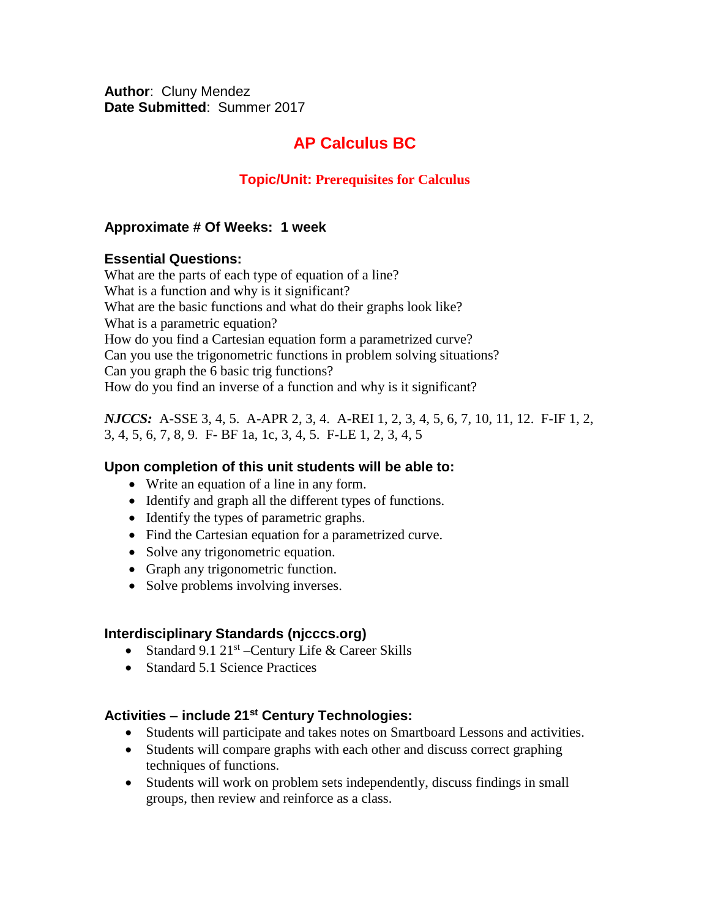**Author**: Cluny Mendez **Date Submitted**: Summer 2017

# **AP Calculus BC**

## **Topic/Unit: Prerequisites for Calculus**

#### **Approximate # Of Weeks: 1 week**

#### **Essential Questions:**

What are the parts of each type of equation of a line? What is a function and why is it significant? What are the basic functions and what do their graphs look like? What is a parametric equation? How do you find a Cartesian equation form a parametrized curve? Can you use the trigonometric functions in problem solving situations? Can you graph the 6 basic trig functions? How do you find an inverse of a function and why is it significant?

*NJCCS:* A-SSE 3, 4, 5. A-APR 2, 3, 4. A-REI 1, 2, 3, 4, 5, 6, 7, 10, 11, 12. F-IF 1, 2, 3, 4, 5, 6, 7, 8, 9. F- BF 1a, 1c, 3, 4, 5. F-LE 1, 2, 3, 4, 5

#### **Upon completion of this unit students will be able to:**

- Write an equation of a line in any form.
- Identify and graph all the different types of functions.
- Identify the types of parametric graphs.
- Find the Cartesian equation for a parametrized curve.
- Solve any trigonometric equation.
- Graph any trigonometric function.
- Solve problems involving inverses.

#### **Interdisciplinary Standards (njcccs.org)**

- Standard 9.1 21<sup>st</sup> Century Life & Career Skills
- Standard 5.1 Science Practices

#### **Activities – include 21st Century Technologies:**

- Students will participate and takes notes on Smartboard Lessons and activities.
- Students will compare graphs with each other and discuss correct graphing techniques of functions.
- Students will work on problem sets independently, discuss findings in small groups, then review and reinforce as a class.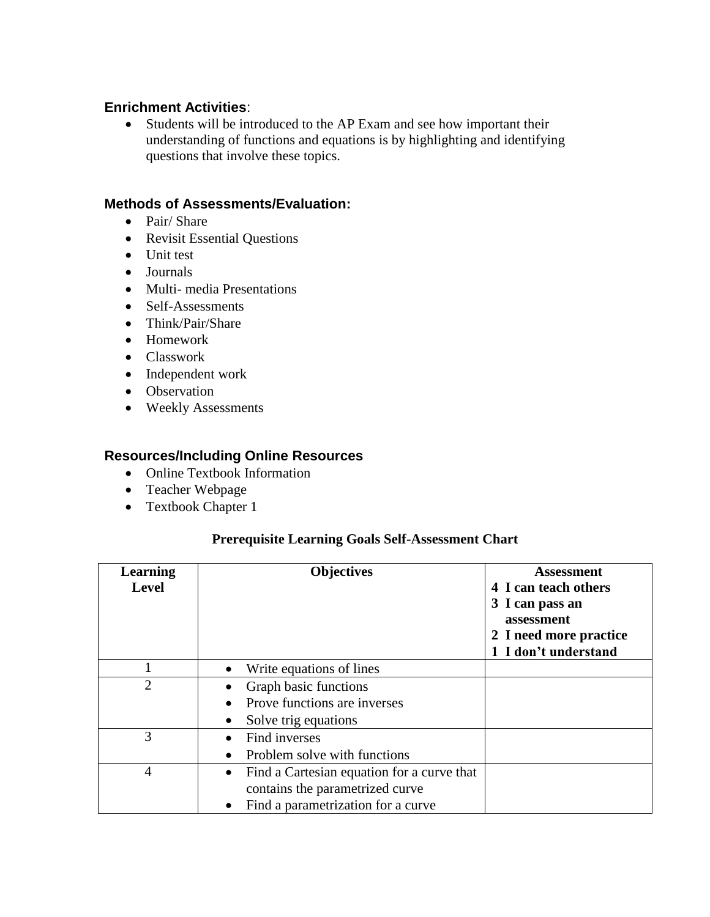## **Enrichment Activities**:

 Students will be introduced to the AP Exam and see how important their understanding of functions and equations is by highlighting and identifying questions that involve these topics.

#### **Methods of Assessments/Evaluation:**

- Pair/ Share
- Revisit Essential Questions
- Unit test
- Journals
- Multi- media Presentations
- Self-Assessments
- Think/Pair/Share
- Homework
- Classwork
- Independent work
- Observation
- Weekly Assessments

## **Resources/Including Online Resources**

- Online Textbook Information
- Teacher Webpage
- Textbook Chapter 1

#### **Prerequisite Learning Goals Self-Assessment Chart**

| Learning<br><b>Level</b> | <b>Objectives</b>                                                                                                                             | Assessment<br>4 I can teach others<br>3 I can pass an<br>assessment<br>2 I need more practice<br>1 I don't understand |
|--------------------------|-----------------------------------------------------------------------------------------------------------------------------------------------|-----------------------------------------------------------------------------------------------------------------------|
|                          | Write equations of lines<br>$\bullet$                                                                                                         |                                                                                                                       |
| 2                        | Graph basic functions                                                                                                                         |                                                                                                                       |
|                          | Prove functions are inverses                                                                                                                  |                                                                                                                       |
|                          | Solve trig equations                                                                                                                          |                                                                                                                       |
| 3                        | Find inverses                                                                                                                                 |                                                                                                                       |
|                          | Problem solve with functions<br>$\bullet$                                                                                                     |                                                                                                                       |
| 4                        | Find a Cartesian equation for a curve that<br>$\bullet$<br>contains the parametrized curve<br>Find a parametrization for a curve<br>$\bullet$ |                                                                                                                       |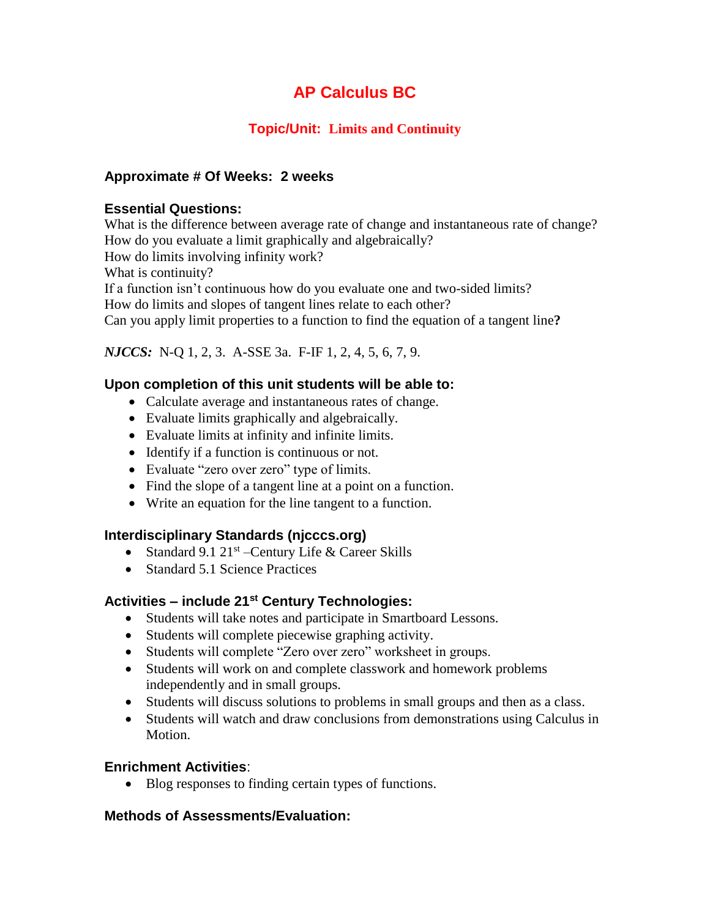## **Topic/Unit: Limits and Continuity**

## **Approximate # Of Weeks: 2 weeks**

#### **Essential Questions:**

What is the difference between average rate of change and instantaneous rate of change? How do you evaluate a limit graphically and algebraically?

How do limits involving infinity work?

What is continuity?

If a function isn't continuous how do you evaluate one and two-sided limits?

How do limits and slopes of tangent lines relate to each other?

Can you apply limit properties to a function to find the equation of a tangent line**?**

## *NJCCS:* N-Q 1, 2, 3. A-SSE 3a. F-IF 1, 2, 4, 5, 6, 7, 9.

## **Upon completion of this unit students will be able to:**

- Calculate average and instantaneous rates of change.
- Evaluate limits graphically and algebraically.
- Evaluate limits at infinity and infinite limits.
- Identify if a function is continuous or not.
- Evaluate "zero over zero" type of limits.
- Find the slope of a tangent line at a point on a function.
- Write an equation for the line tangent to a function.

#### **Interdisciplinary Standards (njcccs.org)**

- Standard 9.1 21<sup>st</sup> Century Life & Career Skills
- Standard 5.1 Science Practices

## **Activities – include 21st Century Technologies:**

- Students will take notes and participate in Smartboard Lessons.
- Students will complete piecewise graphing activity.
- Students will complete "Zero over zero" worksheet in groups.
- Students will work on and complete classwork and homework problems independently and in small groups.
- Students will discuss solutions to problems in small groups and then as a class.
- Students will watch and draw conclusions from demonstrations using Calculus in Motion.

#### **Enrichment Activities**:

• Blog responses to finding certain types of functions.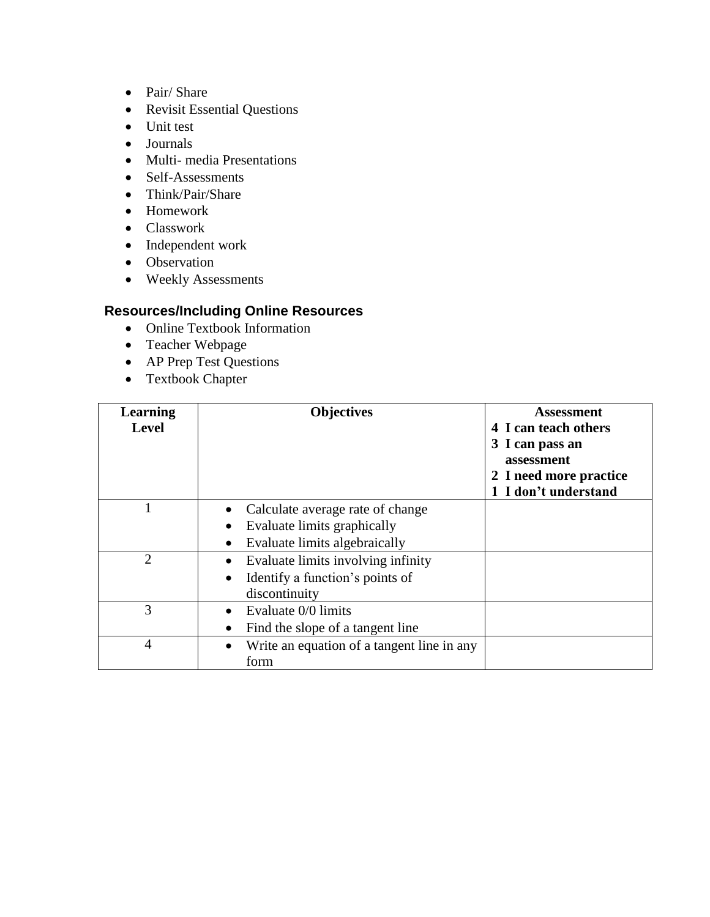- Pair/ Share
- Revisit Essential Questions
- Unit test
- Journals
- Multi- media Presentations
- Self-Assessments
- Think/Pair/Share
- Homework
- Classwork
- Independent work
- Observation
- Weekly Assessments

- Online Textbook Information
- Teacher Webpage
- AP Prep Test Questions
- Textbook Chapter

| <b>Learning</b><br><b>Level</b> | <b>Objectives</b>                                                                      | <b>Assessment</b><br>4 I can teach others<br>3 I can pass an<br>assessment<br>2 I need more practice<br>1 I don't understand |
|---------------------------------|----------------------------------------------------------------------------------------|------------------------------------------------------------------------------------------------------------------------------|
|                                 | Calculate average rate of change<br>Evaluate limits graphically                        |                                                                                                                              |
|                                 | Evaluate limits algebraically                                                          |                                                                                                                              |
| $\overline{2}$                  | Evaluate limits involving infinity<br>Identify a function's points of<br>discontinuity |                                                                                                                              |
| 3                               | Evaluate 0/0 limits<br>Find the slope of a tangent line                                |                                                                                                                              |
| 4                               | Write an equation of a tangent line in any<br>$\bullet$<br>form                        |                                                                                                                              |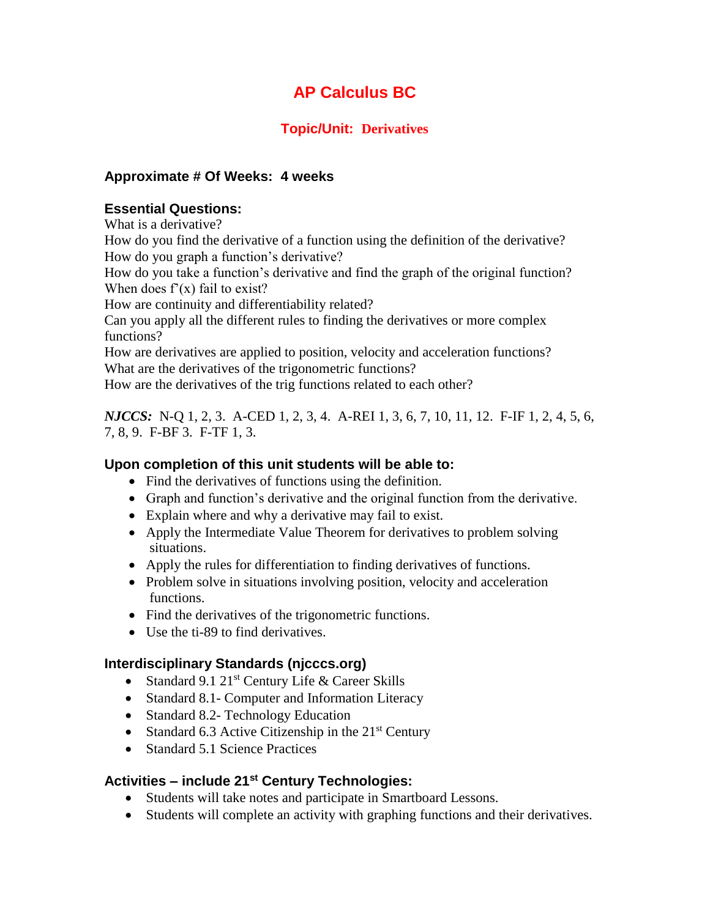## **Topic/Unit: Derivatives**

## **Approximate # Of Weeks: 4 weeks**

#### **Essential Questions:**

What is a derivative?

How do you find the derivative of a function using the definition of the derivative? How do you graph a function's derivative?

How do you take a function's derivative and find the graph of the original function? When does  $f'(x)$  fail to exist?

How are continuity and differentiability related?

Can you apply all the different rules to finding the derivatives or more complex functions?

How are derivatives are applied to position, velocity and acceleration functions? What are the derivatives of the trigonometric functions?

How are the derivatives of the trig functions related to each other?

*NJCCS:* N-Q 1, 2, 3. A-CED 1, 2, 3, 4. A-REI 1, 3, 6, 7, 10, 11, 12. F-IF 1, 2, 4, 5, 6, 7, 8, 9. F-BF 3. F-TF 1, 3.

#### **Upon completion of this unit students will be able to:**

- Find the derivatives of functions using the definition.
- Graph and function's derivative and the original function from the derivative.
- Explain where and why a derivative may fail to exist.
- Apply the Intermediate Value Theorem for derivatives to problem solving situations.
- Apply the rules for differentiation to finding derivatives of functions.
- Problem solve in situations involving position, velocity and acceleration functions.
- Find the derivatives of the trigonometric functions.
- Use the ti-89 to find derivatives.

## **Interdisciplinary Standards (njcccs.org)**

- Standard 9.1 21<sup>st</sup> Century Life & Career Skills
- Standard 8.1- Computer and Information Literacy
- Standard 8.2- Technology Education
- Standard 6.3 Active Citizenship in the  $21<sup>st</sup>$  Century
- Standard 5.1 Science Practices

## **Activities – include 21st Century Technologies:**

- Students will take notes and participate in Smartboard Lessons.
- Students will complete an activity with graphing functions and their derivatives.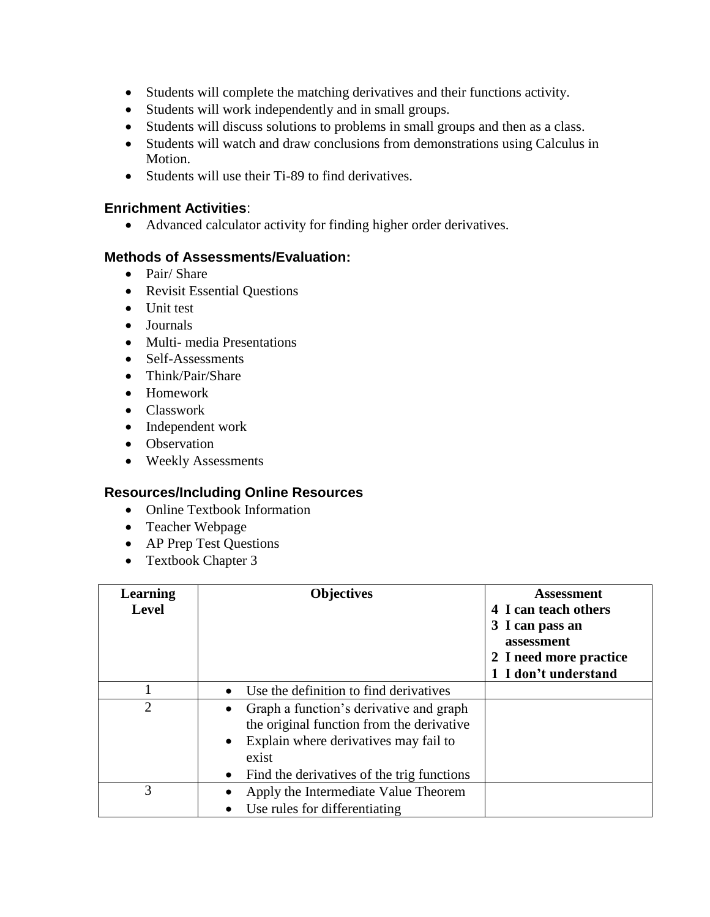- Students will complete the matching derivatives and their functions activity.
- Students will work independently and in small groups.
- Students will discuss solutions to problems in small groups and then as a class.
- Students will watch and draw conclusions from demonstrations using Calculus in Motion.
- Students will use their Ti-89 to find derivatives.

#### **Enrichment Activities**:

Advanced calculator activity for finding higher order derivatives.

#### **Methods of Assessments/Evaluation:**

- Pair/ Share
- Revisit Essential Questions
- Unit test
- Journals
- Multi- media Presentations
- Self-Assessments
- Think/Pair/Share
- Homework
- Classwork
- Independent work
- Observation
- Weekly Assessments

- Online Textbook Information
- Teacher Webpage
- AP Prep Test Questions
- Textbook Chapter 3

| <b>Learning</b><br><b>Level</b> | <b>Objectives</b>                                                                                                                                                                                                | <b>Assessment</b><br>4 I can teach others<br>3 I can pass an<br>assessment<br>2 I need more practice<br>1 I don't understand |
|---------------------------------|------------------------------------------------------------------------------------------------------------------------------------------------------------------------------------------------------------------|------------------------------------------------------------------------------------------------------------------------------|
|                                 | Use the definition to find derivatives<br>$\bullet$                                                                                                                                                              |                                                                                                                              |
| $\overline{2}$                  | Graph a function's derivative and graph<br>$\bullet$<br>the original function from the derivative<br>• Explain where derivatives may fail to<br>exist<br>Find the derivatives of the trig functions<br>$\bullet$ |                                                                                                                              |
| 3                               | Apply the Intermediate Value Theorem<br>Use rules for differentiating<br>$\bullet$                                                                                                                               |                                                                                                                              |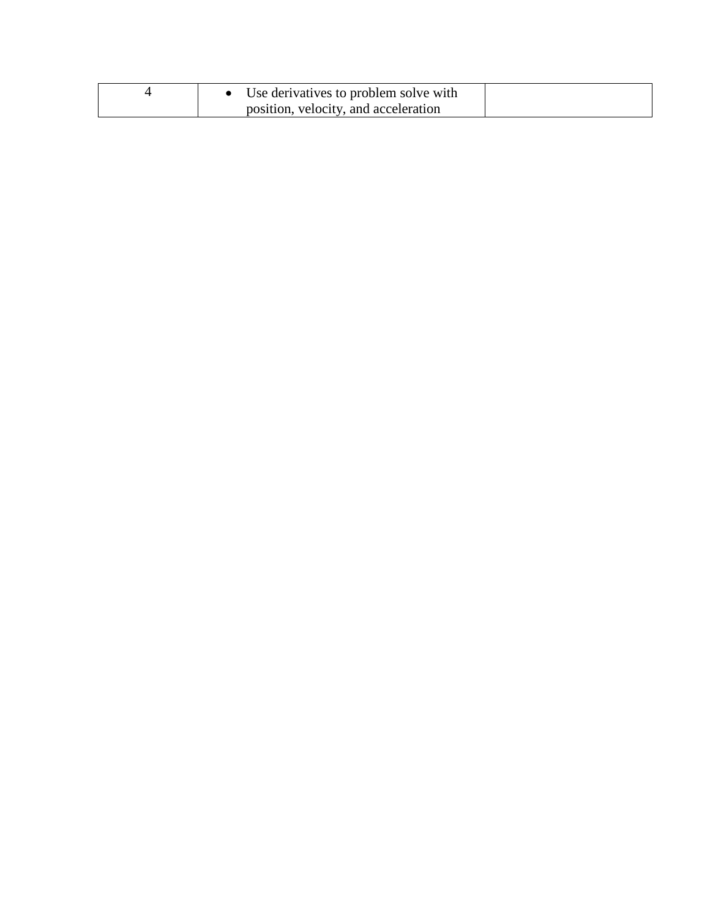| Use derivatives to problem solve with |  |
|---------------------------------------|--|
| position, velocity, and acceleration  |  |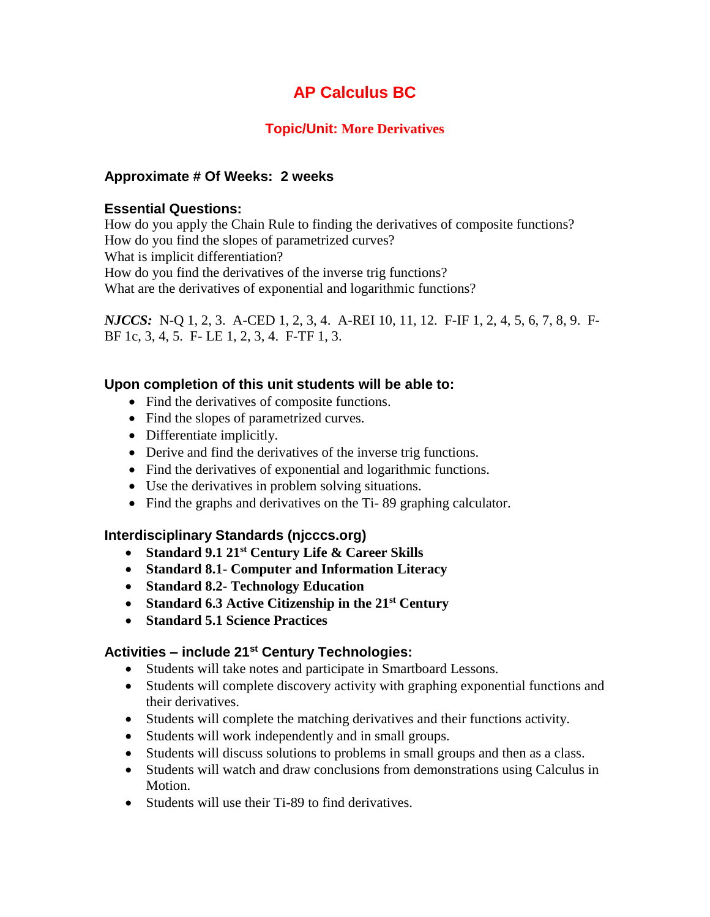## **Topic/Unit: More Derivatives**

## **Approximate # Of Weeks: 2 weeks**

#### **Essential Questions:**

How do you apply the Chain Rule to finding the derivatives of composite functions? How do you find the slopes of parametrized curves? What is implicit differentiation? How do you find the derivatives of the inverse trig functions? What are the derivatives of exponential and logarithmic functions?

*NJCCS:* N-Q 1, 2, 3. A-CED 1, 2, 3, 4. A-REI 10, 11, 12. F-IF 1, 2, 4, 5, 6, 7, 8, 9. F-BF 1c, 3, 4, 5. F- LE 1, 2, 3, 4. F-TF 1, 3.

#### **Upon completion of this unit students will be able to:**

- Find the derivatives of composite functions.
- Find the slopes of parametrized curves.
- Differentiate implicitly.
- Derive and find the derivatives of the inverse trig functions.
- Find the derivatives of exponential and logarithmic functions.
- Use the derivatives in problem solving situations.
- Find the graphs and derivatives on the Ti-89 graphing calculator.

## **Interdisciplinary Standards (njcccs.org)**

- **Standard 9.1 21st Century Life & Career Skills**
- **Standard 8.1- Computer and Information Literacy**
- **Standard 8.2- Technology Education**
- **Standard 6.3 Active Citizenship in the 21st Century**
- **Standard 5.1 Science Practices**

## **Activities – include 21st Century Technologies:**

- Students will take notes and participate in Smartboard Lessons.
- Students will complete discovery activity with graphing exponential functions and their derivatives.
- Students will complete the matching derivatives and their functions activity.
- Students will work independently and in small groups.
- Students will discuss solutions to problems in small groups and then as a class.
- Students will watch and draw conclusions from demonstrations using Calculus in Motion.
- Students will use their Ti-89 to find derivatives.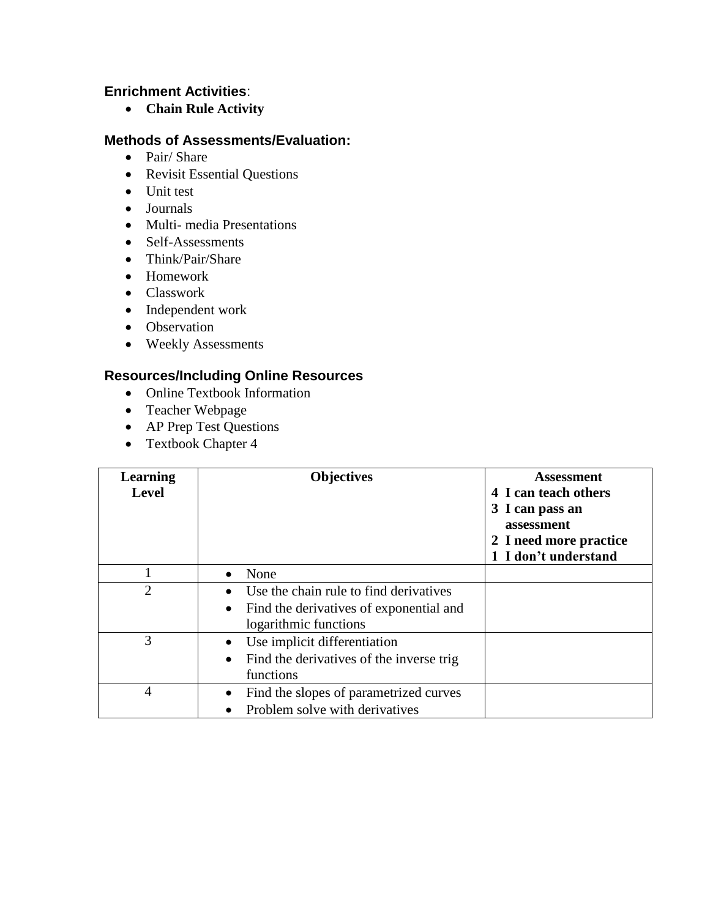## **Enrichment Activities**:

**Chain Rule Activity**

#### **Methods of Assessments/Evaluation:**

- Pair/ Share
- Revisit Essential Questions
- Unit test
- Journals
- Multi- media Presentations
- Self-Assessments
- Think/Pair/Share
- Homework
- Classwork
- Independent work
- Observation
- Weekly Assessments

- Online Textbook Information
- Teacher Webpage
- AP Prep Test Questions
- Textbook Chapter 4

| Learning<br><b>Level</b> | <b>Objectives</b>                                                                                                       | <b>Assessment</b><br>4 I can teach others<br>3 I can pass an<br>assessment<br>2 I need more practice<br>1 I don't understand |
|--------------------------|-------------------------------------------------------------------------------------------------------------------------|------------------------------------------------------------------------------------------------------------------------------|
|                          | None<br>$\bullet$                                                                                                       |                                                                                                                              |
| $\overline{2}$           | Use the chain rule to find derivatives<br>Find the derivatives of exponential and<br>$\bullet$<br>logarithmic functions |                                                                                                                              |
| 3                        | Use implicit differentiation<br>$\bullet$<br>Find the derivatives of the inverse trig<br>functions                      |                                                                                                                              |
| 4                        | Find the slopes of parametrized curves<br>Problem solve with derivatives                                                |                                                                                                                              |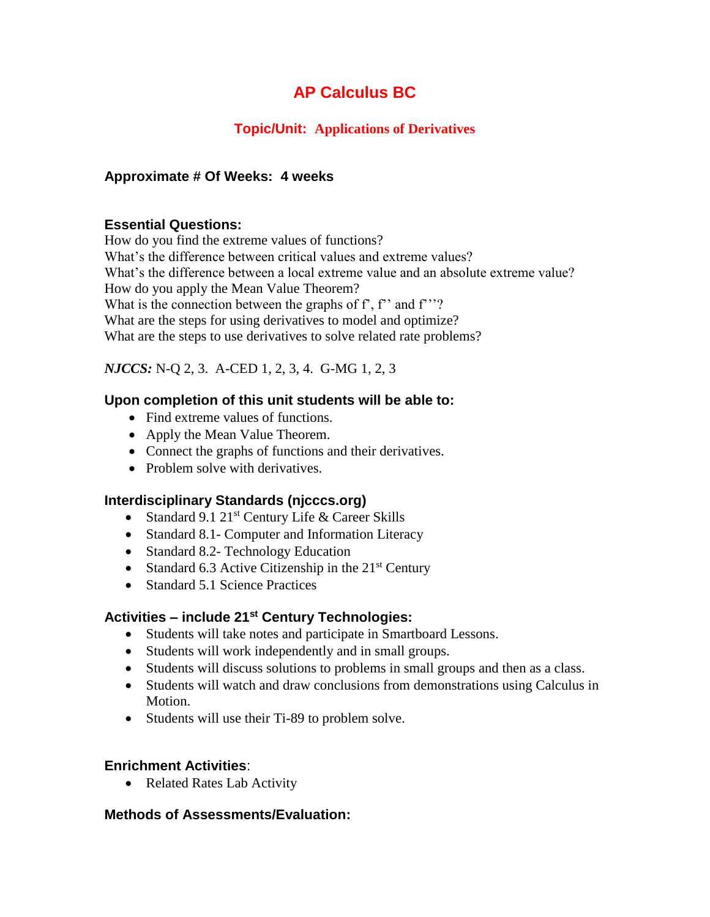## **Topic/Unit: Applications of Derivatives**

## **Approximate # Of Weeks: 4 weeks**

## **Essential Questions:**

How do you find the extreme values of functions? What's the difference between critical values and extreme values? What's the difference between a local extreme value and an absolute extreme value? How do you apply the Mean Value Theorem? What is the connection between the graphs of  $f$ ,  $f$ ' and  $f$ ''? What are the steps for using derivatives to model and optimize? What are the steps to use derivatives to solve related rate problems?

## *NJCCS:* N-Q 2, 3. A-CED 1, 2, 3, 4. G-MG 1, 2, 3

## **Upon completion of this unit students will be able to:**

- Find extreme values of functions.
- Apply the Mean Value Theorem.
- Connect the graphs of functions and their derivatives.
- Problem solve with derivatives.

## **Interdisciplinary Standards (njcccs.org)**

- Standard 9.1  $21^{st}$  Century Life & Career Skills
- Standard 8.1- Computer and Information Literacy
- Standard 8.2- Technology Education
- Standard 6.3 Active Citizenship in the  $21<sup>st</sup>$  Century
- Standard 5.1 Science Practices

## **Activities – include 21st Century Technologies:**

- Students will take notes and participate in Smartboard Lessons.
- Students will work independently and in small groups.
- Students will discuss solutions to problems in small groups and then as a class.
- Students will watch and draw conclusions from demonstrations using Calculus in Motion.
- Students will use their Ti-89 to problem solve.

#### **Enrichment Activities**:

• Related Rates Lab Activity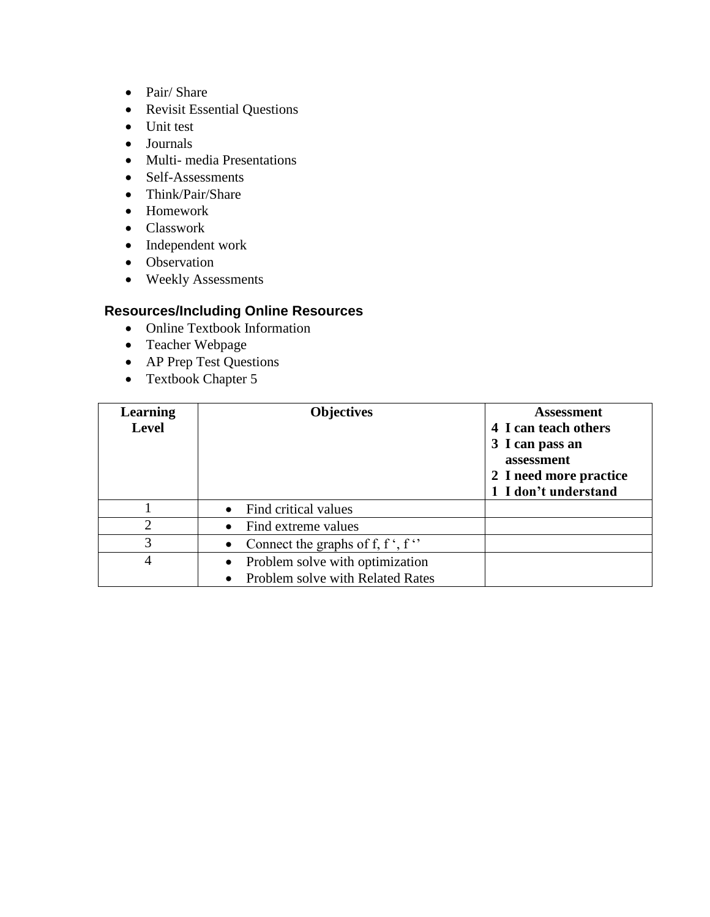- Pair/ Share
- Revisit Essential Questions
- Unit test
- Journals
- Multi- media Presentations
- Self-Assessments
- Think/Pair/Share
- Homework
- Classwork
- Independent work
- Observation
- Weekly Assessments

- Online Textbook Information
- Teacher Webpage
- AP Prep Test Questions
- Textbook Chapter 5

| <b>Objectives</b>                            | <b>Assessment</b><br>4 I can teach others<br>3 I can pass an<br>assessment<br>2 I need more practice<br>1 I don't understand |
|----------------------------------------------|------------------------------------------------------------------------------------------------------------------------------|
| • Find critical values                       |                                                                                                                              |
| • Find extreme values                        |                                                                                                                              |
| • Connect the graphs of f, f ', f $\cdot$    |                                                                                                                              |
| Problem solve with optimization<br>$\bullet$ |                                                                                                                              |
|                                              | Problem solve with Related Rates                                                                                             |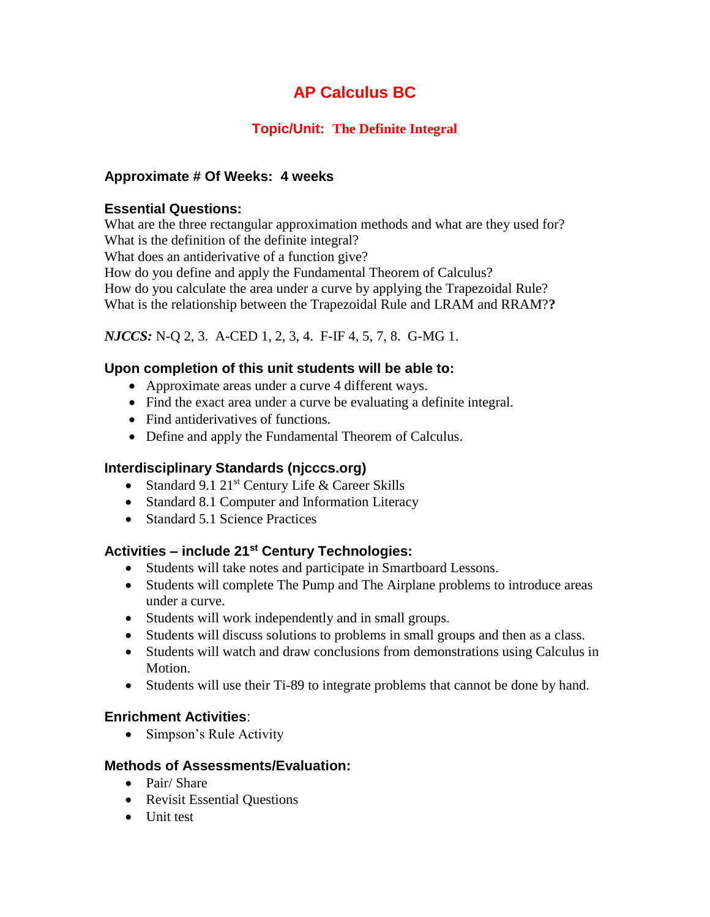## **Topic/Unit: The Definite Integral**

## **Approximate # Of Weeks: 4 weeks**

#### **Essential Questions:**

What are the three rectangular approximation methods and what are they used for? What is the definition of the definite integral?

What does an antiderivative of a function give?

How do you define and apply the Fundamental Theorem of Calculus?

How do you calculate the area under a curve by applying the Trapezoidal Rule?

What is the relationship between the Trapezoidal Rule and LRAM and RRAM?**?**

*NJCCS:* N-Q 2, 3. A-CED 1, 2, 3, 4. F-IF 4, 5, 7, 8. G-MG 1.

## **Upon completion of this unit students will be able to:**

- Approximate areas under a curve 4 different ways.
- Find the exact area under a curve be evaluating a definite integral.
- Find antiderivatives of functions.
- Define and apply the Fundamental Theorem of Calculus.

## **Interdisciplinary Standards (njcccs.org)**

- Standard 9.1 21<sup>st</sup> Century Life & Career Skills
- Standard 8.1 Computer and Information Literacy
- Standard 5.1 Science Practices

## **Activities – include 21st Century Technologies:**

- Students will take notes and participate in Smartboard Lessons.
- Students will complete The Pump and The Airplane problems to introduce areas under a curve.
- Students will work independently and in small groups.
- Students will discuss solutions to problems in small groups and then as a class.
- Students will watch and draw conclusions from demonstrations using Calculus in Motion.
- Students will use their Ti-89 to integrate problems that cannot be done by hand.

## **Enrichment Activities**:

• Simpson's Rule Activity

- Pair/ Share
- Revisit Essential Questions
- Unit test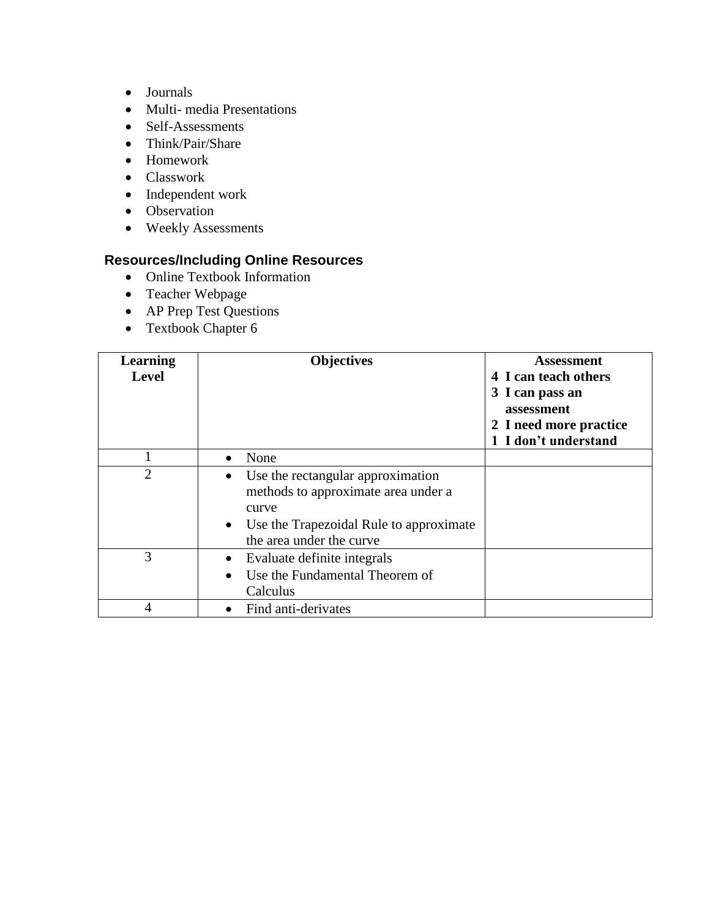- Journals
- Multi- media Presentations
- Self-Assessments
- Think/Pair/Share
- Homework
- Classwork
- Independent work
- Observation
- Weekly Assessments

- Online Textbook Information
- Teacher Webpage
- AP Prep Test Questions
- Textbook Chapter 6

| <b>Learning</b><br><b>Level</b> | <b>Objectives</b>                                                                                                                                                                  | <b>Assessment</b><br>4 I can teach others<br>3 I can pass an<br>assessment<br>2 I need more practice<br>1 I don't understand |
|---------------------------------|------------------------------------------------------------------------------------------------------------------------------------------------------------------------------------|------------------------------------------------------------------------------------------------------------------------------|
|                                 | None<br>$\bullet$                                                                                                                                                                  |                                                                                                                              |
| $\overline{2}$                  | Use the rectangular approximation<br>$\bullet$<br>methods to approximate area under a<br>curve<br>Use the Trapezoidal Rule to approximate<br>$\bullet$<br>the area under the curve |                                                                                                                              |
| 3                               | Evaluate definite integrals<br>$\bullet$<br>Use the Fundamental Theorem of<br>$\bullet$<br>Calculus                                                                                |                                                                                                                              |
| 4                               | Find anti-derivates                                                                                                                                                                |                                                                                                                              |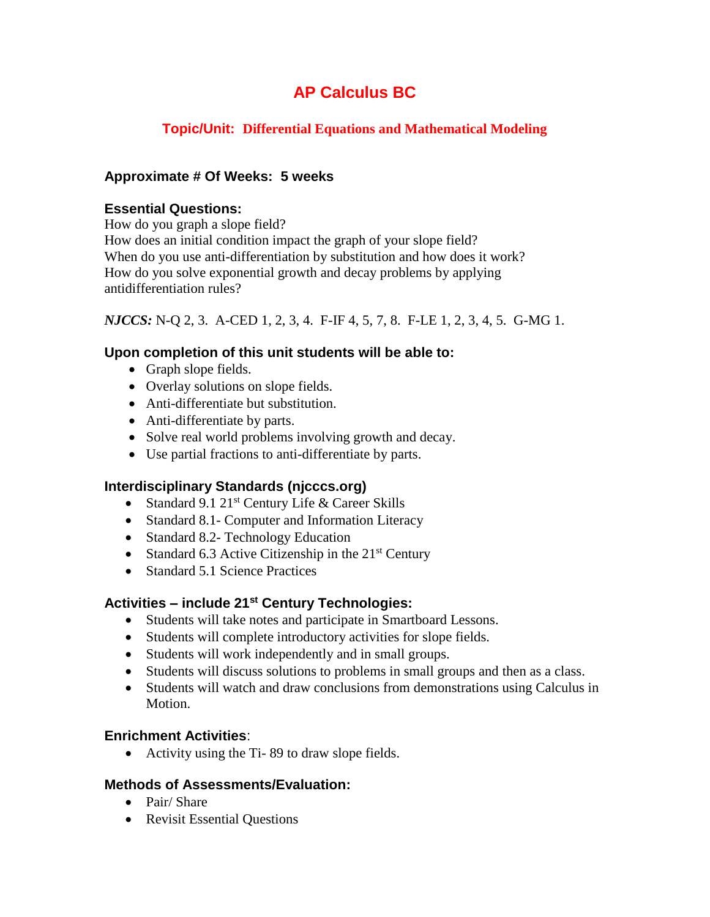## **Topic/Unit: Differential Equations and Mathematical Modeling**

## **Approximate # Of Weeks: 5 weeks**

#### **Essential Questions:**

How do you graph a slope field? How does an initial condition impact the graph of your slope field? When do you use anti-differentiation by substitution and how does it work? How do you solve exponential growth and decay problems by applying antidifferentiation rules?

*NJCCS:* N-Q 2, 3. A-CED 1, 2, 3, 4. F-IF 4, 5, 7, 8. F-LE 1, 2, 3, 4, 5. G-MG 1.

## **Upon completion of this unit students will be able to:**

- Graph slope fields.
- Overlay solutions on slope fields.
- Anti-differentiate but substitution.
- Anti-differentiate by parts.
- Solve real world problems involving growth and decay.
- Use partial fractions to anti-differentiate by parts.

#### **Interdisciplinary Standards (njcccs.org)**

- Standard 9.1  $21^{st}$  Century Life & Career Skills
- Standard 8.1- Computer and Information Literacy
- Standard 8.2- Technology Education
- Standard 6.3 Active Citizenship in the  $21<sup>st</sup>$  Century
- Standard 5.1 Science Practices

## **Activities – include 21st Century Technologies:**

- Students will take notes and participate in Smartboard Lessons.
- Students will complete introductory activities for slope fields.
- Students will work independently and in small groups.
- Students will discuss solutions to problems in small groups and then as a class.
- Students will watch and draw conclusions from demonstrations using Calculus in **Motion**

#### **Enrichment Activities**:

• Activity using the Ti-89 to draw slope fields.

- Pair/ Share
- Revisit Essential Questions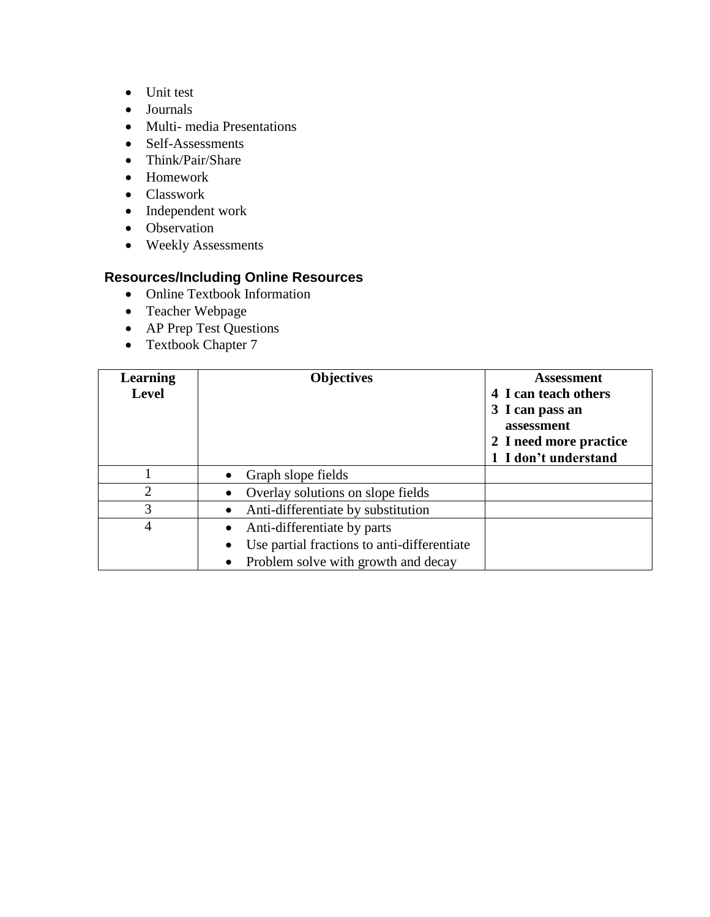- Unit test
- Journals
- Multi- media Presentations
- Self-Assessments
- Think/Pair/Share
- Homework
- Classwork
- Independent work
- Observation
- Weekly Assessments

- Online Textbook Information
- Teacher Webpage
- AP Prep Test Questions
- Textbook Chapter 7

| <b>Learning</b><br><b>Level</b> | <b>Objectives</b>                                | <b>Assessment</b><br>4 I can teach others<br>3 I can pass an<br>assessment<br>2 I need more practice<br>1 I don't understand |
|---------------------------------|--------------------------------------------------|------------------------------------------------------------------------------------------------------------------------------|
|                                 | Graph slope fields                               |                                                                                                                              |
| $\overline{2}$                  | Overlay solutions on slope fields<br>$\bullet$   |                                                                                                                              |
| 3                               | Anti-differentiate by substitution<br>٠          |                                                                                                                              |
| 4                               | Anti-differentiate by parts                      |                                                                                                                              |
|                                 | Use partial fractions to anti-differentiate<br>٠ |                                                                                                                              |
|                                 | Problem solve with growth and decay<br>$\bullet$ |                                                                                                                              |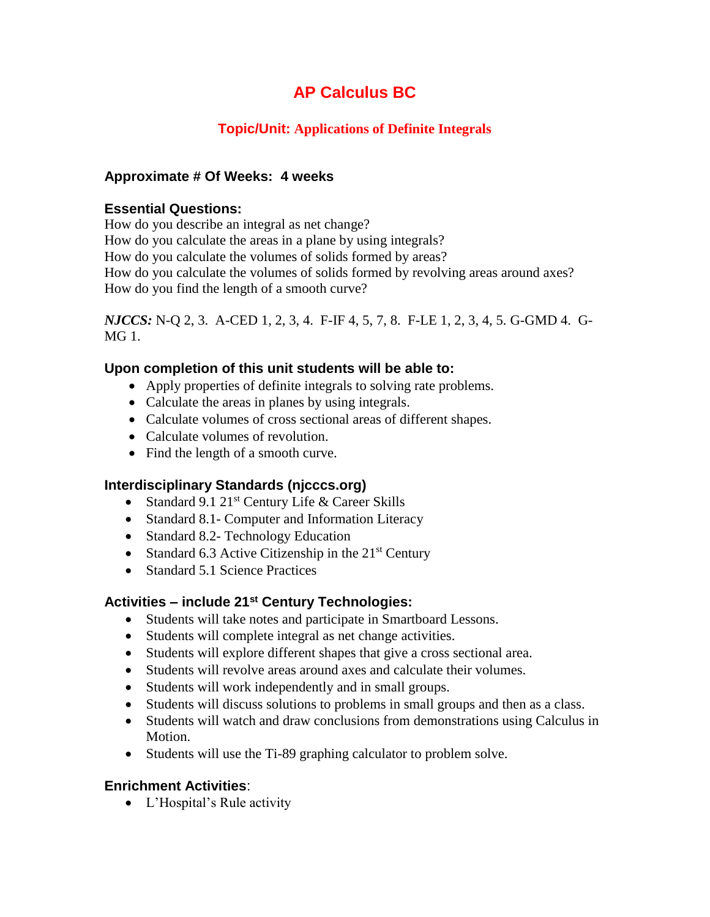## **Topic/Unit: Applications of Definite Integrals**

## **Approximate # Of Weeks: 4 weeks**

#### **Essential Questions:**

How do you describe an integral as net change? How do you calculate the areas in a plane by using integrals? How do you calculate the volumes of solids formed by areas? How do you calculate the volumes of solids formed by revolving areas around axes? How do you find the length of a smooth curve?

*NJCCS:* N-Q 2, 3. A-CED 1, 2, 3, 4. F-IF 4, 5, 7, 8. F-LE 1, 2, 3, 4, 5. G-GMD 4. G-MG 1.

## **Upon completion of this unit students will be able to:**

- Apply properties of definite integrals to solving rate problems.
- Calculate the areas in planes by using integrals.
- Calculate volumes of cross sectional areas of different shapes.
- Calculate volumes of revolution.
- Find the length of a smooth curve.

## **Interdisciplinary Standards (njcccs.org)**

- Standard 9.1  $21^{st}$  Century Life & Career Skills
- Standard 8.1- Computer and Information Literacy
- Standard 8.2- Technology Education
- Standard 6.3 Active Citizenship in the  $21<sup>st</sup>$  Century
- Standard 5.1 Science Practices

## **Activities – include 21st Century Technologies:**

- Students will take notes and participate in Smartboard Lessons.
- Students will complete integral as net change activities.
- Students will explore different shapes that give a cross sectional area.
- Students will revolve areas around axes and calculate their volumes.
- Students will work independently and in small groups.
- Students will discuss solutions to problems in small groups and then as a class.
- Students will watch and draw conclusions from demonstrations using Calculus in Motion.
- Students will use the Ti-89 graphing calculator to problem solve.

## **Enrichment Activities**:

L'Hospital's Rule activity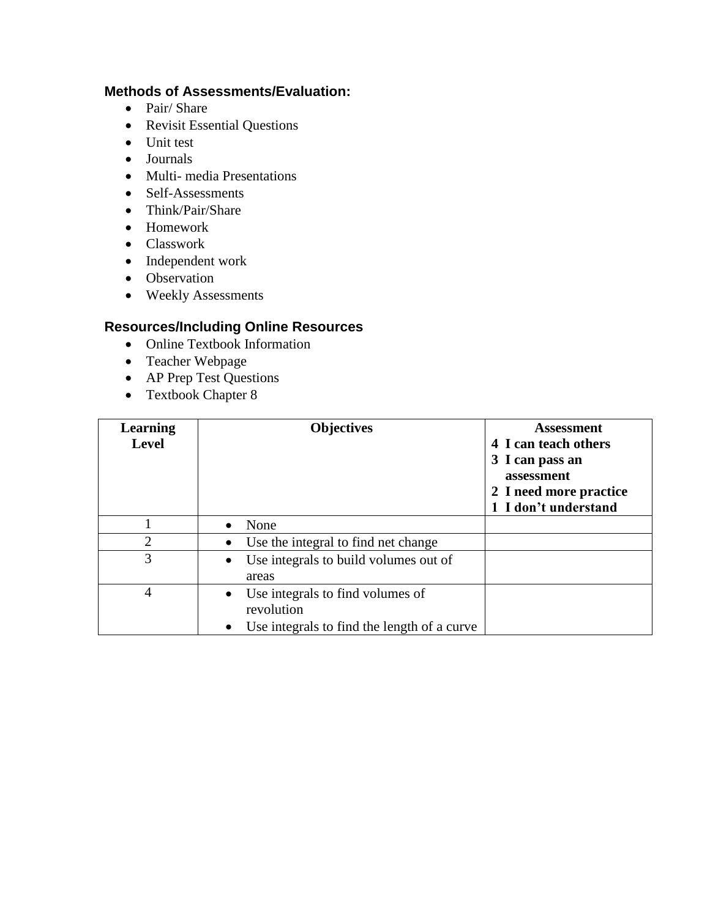## **Methods of Assessments/Evaluation:**

- Pair/ Share
- Revisit Essential Questions
- Unit test
- Journals
- Multi- media Presentations
- Self-Assessments
- Think/Pair/Share
- Homework
- Classwork
- Independent work
- Observation
- Weekly Assessments

- Online Textbook Information
- Teacher Webpage
- AP Prep Test Questions
- Textbook Chapter 8

| <b>Learning</b><br><b>Level</b> | <b>Objectives</b>                                                                                                       | <b>Assessment</b><br>4 I can teach others<br>3 I can pass an<br>assessment<br>2 I need more practice<br>1 I don't understand |
|---------------------------------|-------------------------------------------------------------------------------------------------------------------------|------------------------------------------------------------------------------------------------------------------------------|
|                                 | None<br>$\bullet$                                                                                                       |                                                                                                                              |
| $\overline{2}$                  | Use the integral to find net change<br>$\bullet$                                                                        |                                                                                                                              |
| 3                               | Use integrals to build volumes out of<br>$\bullet$<br>areas                                                             |                                                                                                                              |
| 4                               | Use integrals to find volumes of<br>$\bullet$<br>revolution<br>Use integrals to find the length of a curve<br>$\bullet$ |                                                                                                                              |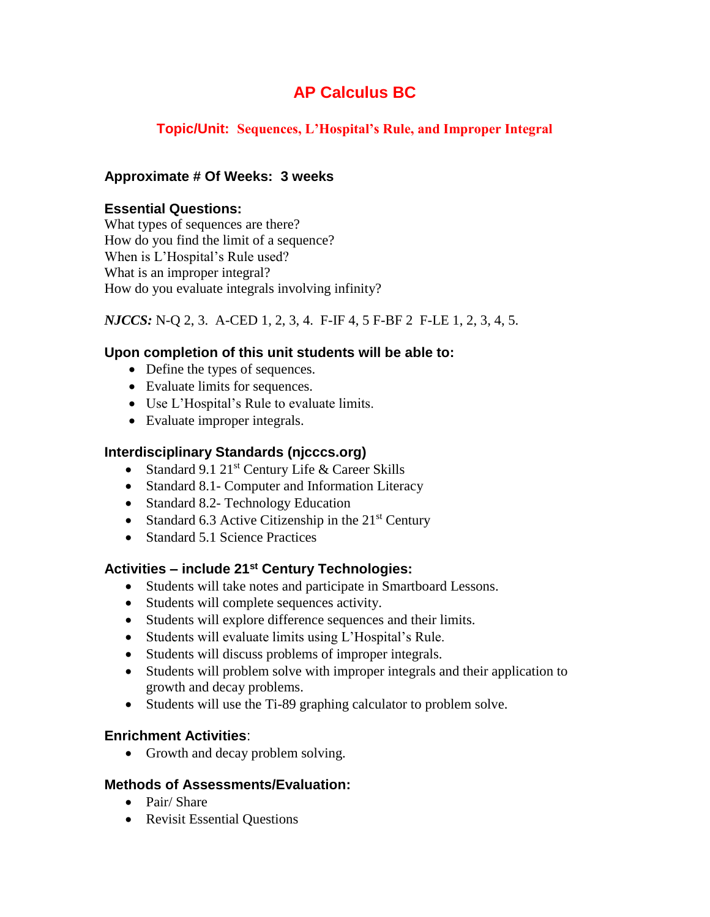## **Topic/Unit: Sequences, L'Hospital's Rule, and Improper Integral**

## **Approximate # Of Weeks: 3 weeks**

## **Essential Questions:**

What types of sequences are there? How do you find the limit of a sequence? When is L'Hospital's Rule used? What is an improper integral? How do you evaluate integrals involving infinity?

## *NJCCS:* N-Q 2, 3. A-CED 1, 2, 3, 4. F-IF 4, 5 F-BF 2 F-LE 1, 2, 3, 4, 5.

## **Upon completion of this unit students will be able to:**

- Define the types of sequences.
- Evaluate limits for sequences.
- Use L'Hospital's Rule to evaluate limits.
- Evaluate improper integrals.

## **Interdisciplinary Standards (njcccs.org)**

- Standard 9.1  $21^{st}$  Century Life & Career Skills
- Standard 8.1- Computer and Information Literacy
- Standard 8.2- Technology Education
- Standard 6.3 Active Citizenship in the  $21<sup>st</sup>$  Century
- Standard 5.1 Science Practices

## **Activities – include 21st Century Technologies:**

- Students will take notes and participate in Smartboard Lessons.
- Students will complete sequences activity.
- Students will explore difference sequences and their limits.
- Students will evaluate limits using L'Hospital's Rule.
- Students will discuss problems of improper integrals.
- Students will problem solve with improper integrals and their application to growth and decay problems.
- Students will use the Ti-89 graphing calculator to problem solve.

#### **Enrichment Activities**:

• Growth and decay problem solving.

- Pair/ Share
- Revisit Essential Questions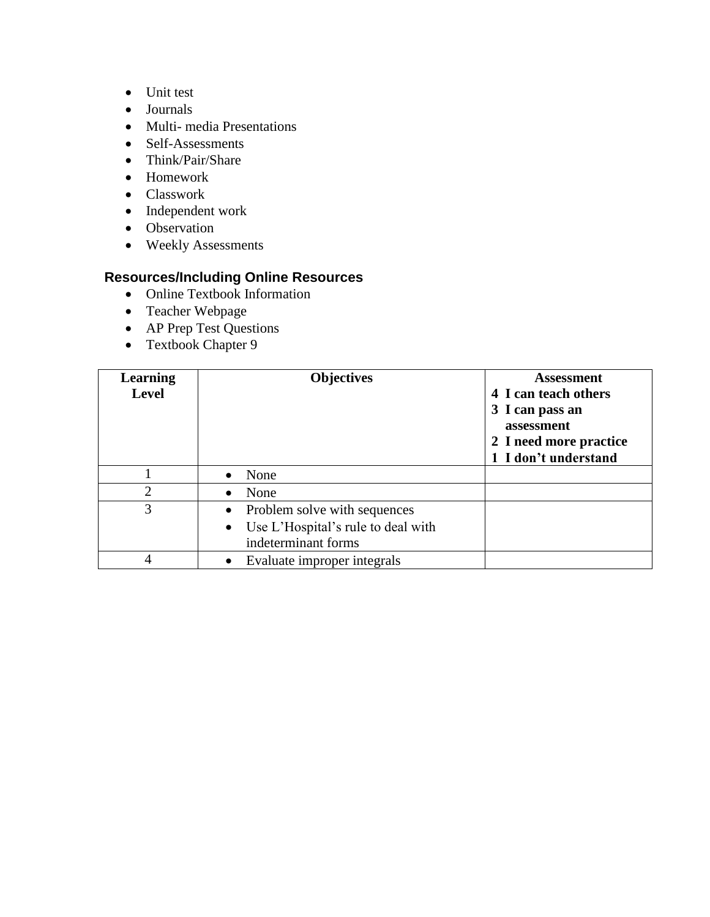- Unit test
- Journals
- Multi- media Presentations
- Self-Assessments
- Think/Pair/Share
- Homework
- Classwork
- Independent work
- Observation
- Weekly Assessments

- Online Textbook Information
- Teacher Webpage
- AP Prep Test Questions
- Textbook Chapter 9

| <b>Learning</b><br><b>Level</b> | <b>Objectives</b>                                                                             | <b>Assessment</b><br>4 I can teach others<br>3 I can pass an<br>assessment<br>2 I need more practice<br>1 I don't understand |
|---------------------------------|-----------------------------------------------------------------------------------------------|------------------------------------------------------------------------------------------------------------------------------|
|                                 | None<br>$\bullet$                                                                             |                                                                                                                              |
| $\overline{2}$                  | None<br>$\bullet$                                                                             |                                                                                                                              |
| 3                               | • Problem solve with sequences<br>• Use L'Hospital's rule to deal with<br>indeterminant forms |                                                                                                                              |
| 4                               | Evaluate improper integrals<br>$\bullet$                                                      |                                                                                                                              |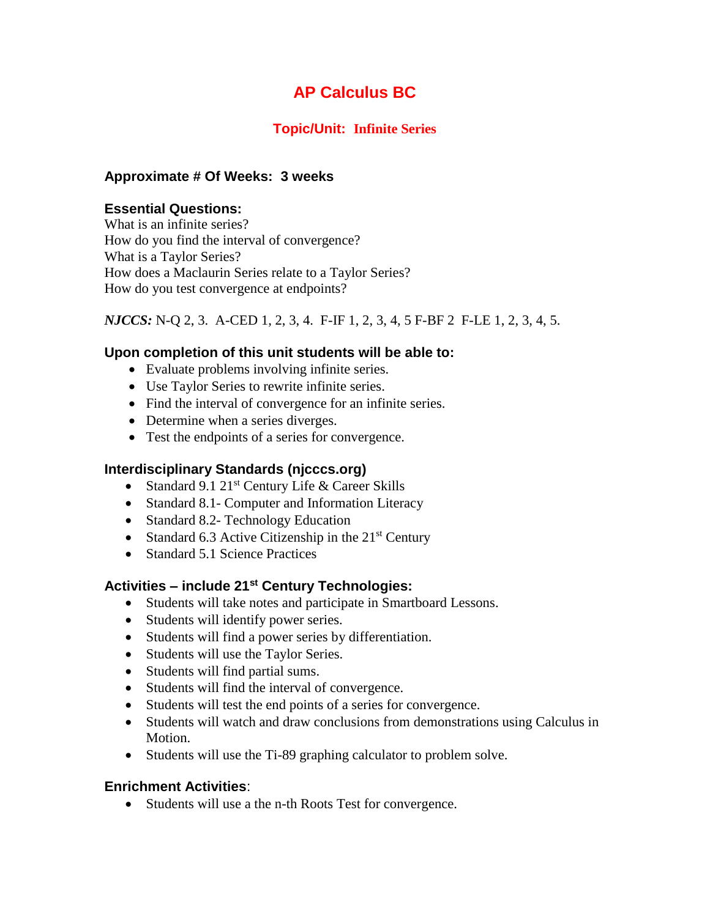## **Topic/Unit: Infinite Series**

## **Approximate # Of Weeks: 3 weeks**

#### **Essential Questions:**

What is an infinite series? How do you find the interval of convergence? What is a Taylor Series? How does a Maclaurin Series relate to a Taylor Series? How do you test convergence at endpoints?

#### *NJCCS:* N-Q 2, 3. A-CED 1, 2, 3, 4. F-IF 1, 2, 3, 4, 5 F-BF 2 F-LE 1, 2, 3, 4, 5.

## **Upon completion of this unit students will be able to:**

- Evaluate problems involving infinite series.
- Use Taylor Series to rewrite infinite series.
- Find the interval of convergence for an infinite series.
- Determine when a series diverges.
- Test the endpoints of a series for convergence.

#### **Interdisciplinary Standards (njcccs.org)**

- Standard 9.1  $21^{st}$  Century Life & Career Skills
- Standard 8.1- Computer and Information Literacy
- Standard 8.2- Technology Education
- Standard 6.3 Active Citizenship in the  $21<sup>st</sup>$  Century
- Standard 5.1 Science Practices

#### **Activities – include 21st Century Technologies:**

- Students will take notes and participate in Smartboard Lessons.
- Students will identify power series.
- Students will find a power series by differentiation.
- Students will use the Taylor Series.
- Students will find partial sums.
- Students will find the interval of convergence.
- Students will test the end points of a series for convergence.
- Students will watch and draw conclusions from demonstrations using Calculus in Motion.
- Students will use the Ti-89 graphing calculator to problem solve.

#### **Enrichment Activities**:

• Students will use a the n-th Roots Test for convergence.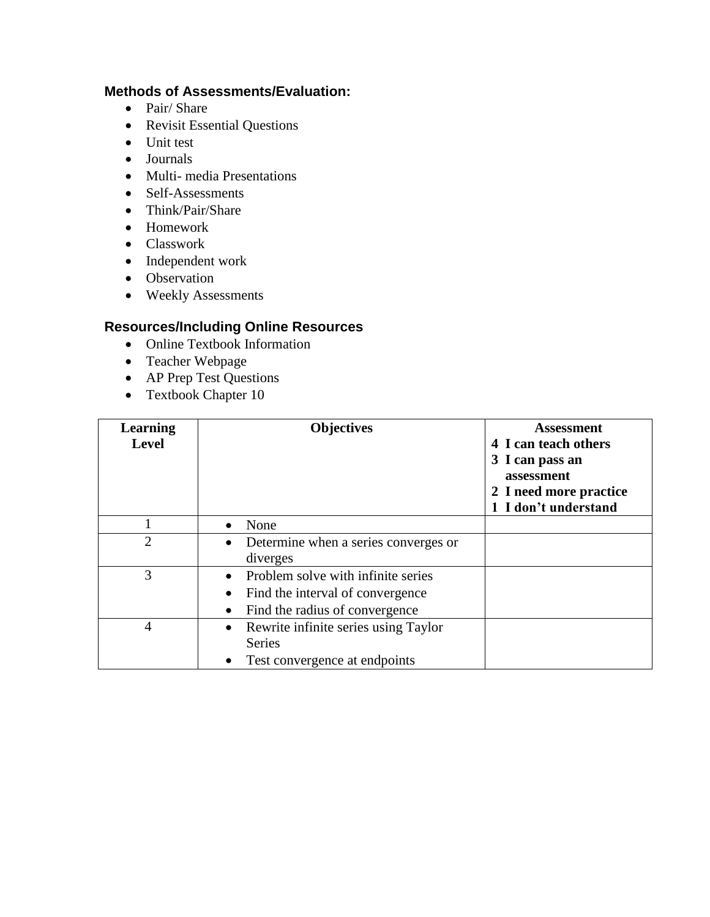## **Methods of Assessments/Evaluation:**

- Pair/ Share
- Revisit Essential Questions
- Unit test
- Journals
- Multi- media Presentations
- Self-Assessments
- Think/Pair/Share
- Homework
- Classwork
- Independent work
- Observation
- Weekly Assessments

- Online Textbook Information
- Teacher Webpage
- AP Prep Test Questions
- Textbook Chapter 10

| <b>Learning</b><br><b>Level</b> | <b>Objectives</b>                                                                                                                       | <b>Assessment</b><br>4 I can teach others<br>3 I can pass an<br>assessment<br>2 I need more practice<br>1 I don't understand |
|---------------------------------|-----------------------------------------------------------------------------------------------------------------------------------------|------------------------------------------------------------------------------------------------------------------------------|
|                                 | None<br>$\bullet$                                                                                                                       |                                                                                                                              |
| $\overline{2}$                  | Determine when a series converges or<br>٠<br>diverges                                                                                   |                                                                                                                              |
| 3                               | Problem solve with infinite series<br>$\bullet$<br>Find the interval of convergence<br>$\bullet$<br>Find the radius of convergence<br>٠ |                                                                                                                              |
| 4                               | Rewrite infinite series using Taylor<br>$\bullet$<br><b>Series</b><br>Test convergence at endpoints<br>٠                                |                                                                                                                              |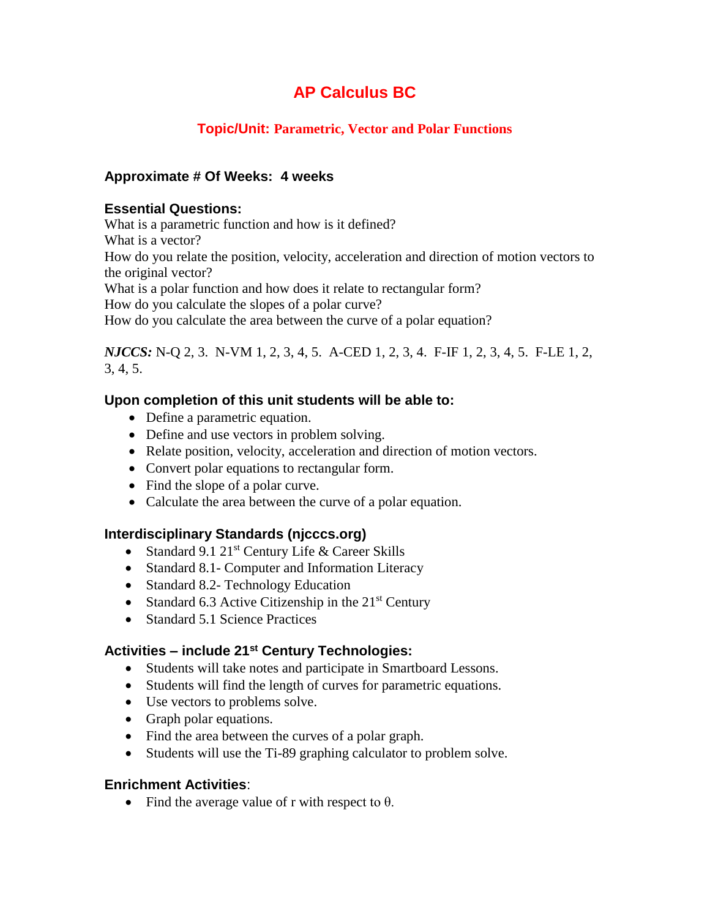## **Topic/Unit: Parametric, Vector and Polar Functions**

## **Approximate # Of Weeks: 4 weeks**

#### **Essential Questions:**

What is a parametric function and how is it defined? What is a vector? How do you relate the position, velocity, acceleration and direction of motion vectors to the original vector? What is a polar function and how does it relate to rectangular form? How do you calculate the slopes of a polar curve?

How do you calculate the area between the curve of a polar equation?

*NJCCS:* N-Q 2, 3. N-VM 1, 2, 3, 4, 5. A-CED 1, 2, 3, 4. F-IF 1, 2, 3, 4, 5. F-LE 1, 2, 3, 4, 5.

## **Upon completion of this unit students will be able to:**

- Define a parametric equation.
- Define and use vectors in problem solving.
- Relate position, velocity, acceleration and direction of motion vectors.
- Convert polar equations to rectangular form.
- Find the slope of a polar curve.
- Calculate the area between the curve of a polar equation.

#### **Interdisciplinary Standards (njcccs.org)**

- Standard 9.1  $21^{st}$  Century Life & Career Skills
- Standard 8.1- Computer and Information Literacy
- Standard 8.2- Technology Education
- Standard 6.3 Active Citizenship in the  $21<sup>st</sup>$  Century
- Standard 5.1 Science Practices

## **Activities – include 21st Century Technologies:**

- Students will take notes and participate in Smartboard Lessons.
- Students will find the length of curves for parametric equations.
- Use vectors to problems solve.
- Graph polar equations.
- Find the area between the curves of a polar graph.
- Students will use the Ti-89 graphing calculator to problem solve.

#### **Enrichment Activities**:

• Find the average value of r with respect to  $\theta$ .